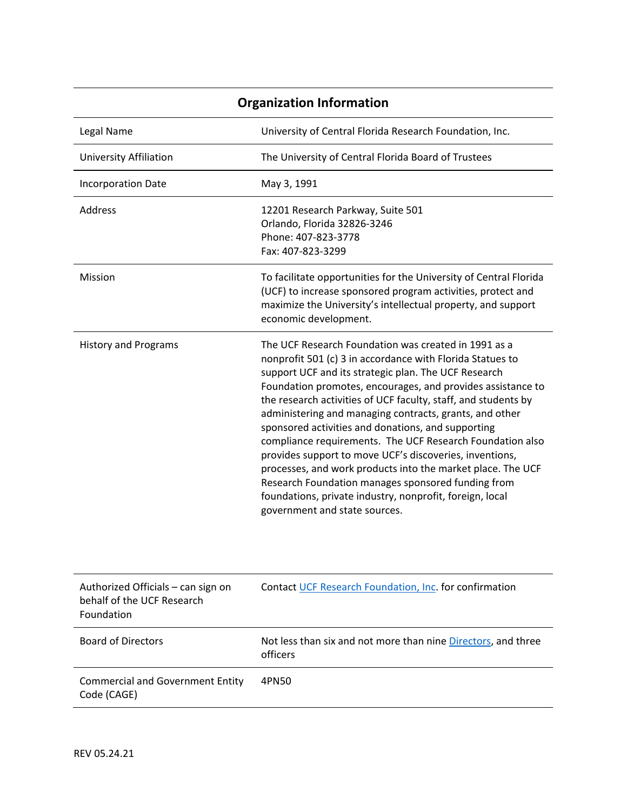| <b>Organization Information</b>                                                |                                                                                                                                                                                                                                                                                                                                                                                                                                                                                                                                                                                                                                                                                                                                                                       |  |
|--------------------------------------------------------------------------------|-----------------------------------------------------------------------------------------------------------------------------------------------------------------------------------------------------------------------------------------------------------------------------------------------------------------------------------------------------------------------------------------------------------------------------------------------------------------------------------------------------------------------------------------------------------------------------------------------------------------------------------------------------------------------------------------------------------------------------------------------------------------------|--|
| Legal Name                                                                     | University of Central Florida Research Foundation, Inc.                                                                                                                                                                                                                                                                                                                                                                                                                                                                                                                                                                                                                                                                                                               |  |
| <b>University Affiliation</b>                                                  | The University of Central Florida Board of Trustees                                                                                                                                                                                                                                                                                                                                                                                                                                                                                                                                                                                                                                                                                                                   |  |
| <b>Incorporation Date</b>                                                      | May 3, 1991                                                                                                                                                                                                                                                                                                                                                                                                                                                                                                                                                                                                                                                                                                                                                           |  |
| Address                                                                        | 12201 Research Parkway, Suite 501<br>Orlando, Florida 32826-3246<br>Phone: 407-823-3778<br>Fax: 407-823-3299                                                                                                                                                                                                                                                                                                                                                                                                                                                                                                                                                                                                                                                          |  |
| Mission                                                                        | To facilitate opportunities for the University of Central Florida<br>(UCF) to increase sponsored program activities, protect and<br>maximize the University's intellectual property, and support<br>economic development.                                                                                                                                                                                                                                                                                                                                                                                                                                                                                                                                             |  |
| <b>History and Programs</b>                                                    | The UCF Research Foundation was created in 1991 as a<br>nonprofit 501 (c) 3 in accordance with Florida Statues to<br>support UCF and its strategic plan. The UCF Research<br>Foundation promotes, encourages, and provides assistance to<br>the research activities of UCF faculty, staff, and students by<br>administering and managing contracts, grants, and other<br>sponsored activities and donations, and supporting<br>compliance requirements. The UCF Research Foundation also<br>provides support to move UCF's discoveries, inventions,<br>processes, and work products into the market place. The UCF<br>Research Foundation manages sponsored funding from<br>foundations, private industry, nonprofit, foreign, local<br>government and state sources. |  |
| Authorized Officials - can sign on<br>behalf of the UCF Research<br>Foundation | Contact UCF Research Foundation, Inc. for confirmation                                                                                                                                                                                                                                                                                                                                                                                                                                                                                                                                                                                                                                                                                                                |  |
| <b>Board of Directors</b>                                                      | Not less than six and not more than nine Directors, and three<br>officers                                                                                                                                                                                                                                                                                                                                                                                                                                                                                                                                                                                                                                                                                             |  |
| <b>Commercial and Government Entity</b><br>Code (CAGE)                         | 4PN50                                                                                                                                                                                                                                                                                                                                                                                                                                                                                                                                                                                                                                                                                                                                                                 |  |